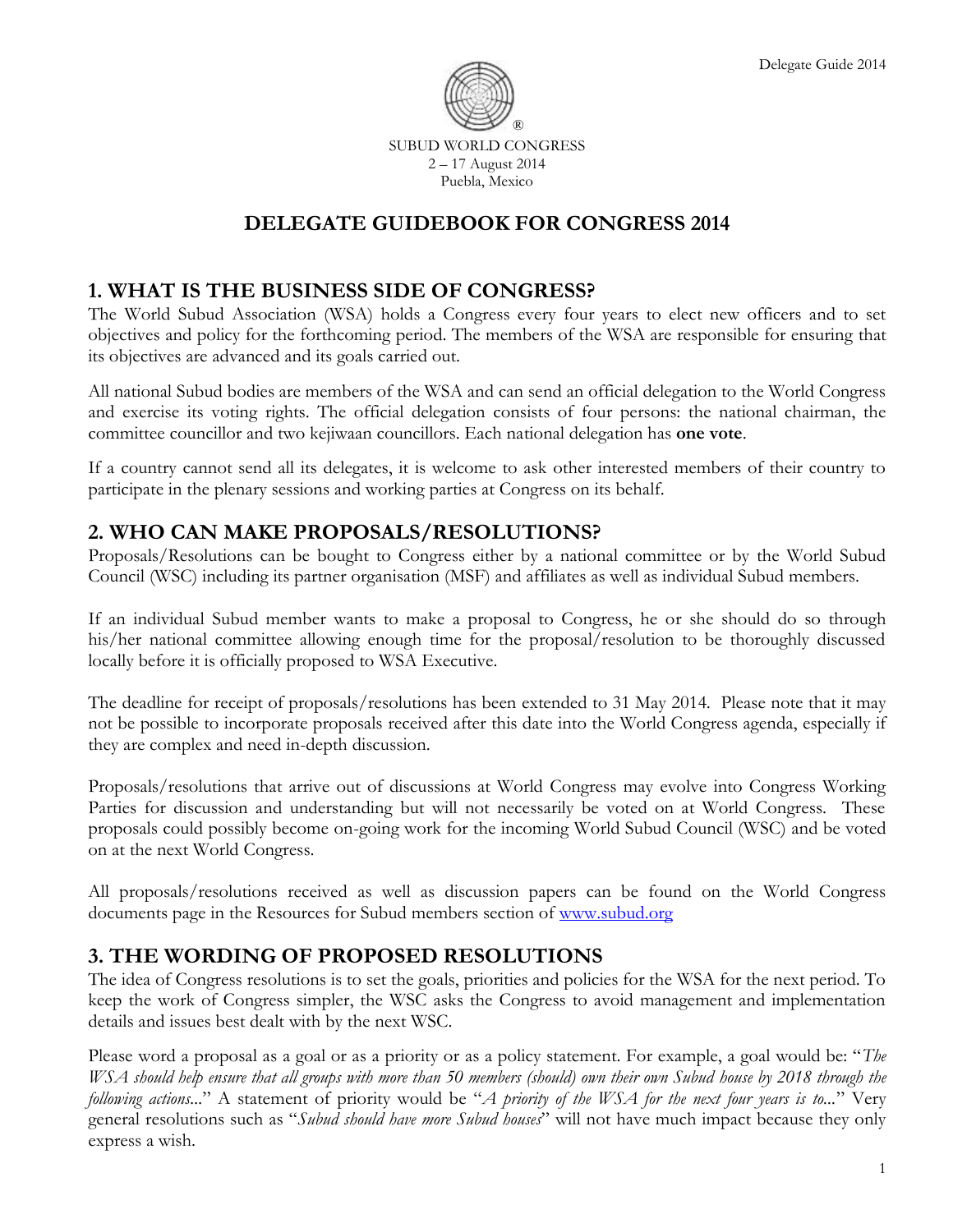

SUBUD WORLD CONGRESS 2 – 17 August 2014 Puebla, Mexico

# **DELEGATE GUIDEBOOK FOR CONGRESS 2014**

## **1. WHAT IS THE BUSINESS SIDE OF CONGRESS?**

The World Subud Association (WSA) holds a Congress every four years to elect new officers and to set objectives and policy for the forthcoming period. The members of the WSA are responsible for ensuring that its objectives are advanced and its goals carried out.

All national Subud bodies are members of the WSA and can send an official delegation to the World Congress and exercise its voting rights. The official delegation consists of four persons: the national chairman, the committee councillor and two kejiwaan councillors. Each national delegation has **one vote**.

If a country cannot send all its delegates, it is welcome to ask other interested members of their country to participate in the plenary sessions and working parties at Congress on its behalf.

# **2. WHO CAN MAKE PROPOSALS/RESOLUTIONS?**

Proposals/Resolutions can be bought to Congress either by a national committee or by the World Subud Council (WSC) including its partner organisation (MSF) and affiliates as well as individual Subud members.

If an individual Subud member wants to make a proposal to Congress, he or she should do so through his/her national committee allowing enough time for the proposal/resolution to be thoroughly discussed locally before it is officially proposed to WSA Executive.

The deadline for receipt of proposals/resolutions has been extended to 31 May 2014. Please note that it may not be possible to incorporate proposals received after this date into the World Congress agenda, especially if they are complex and need in-depth discussion.

Proposals/resolutions that arrive out of discussions at World Congress may evolve into Congress Working Parties for discussion and understanding but will not necessarily be voted on at World Congress. These proposals could possibly become on-going work for the incoming World Subud Council (WSC) and be voted on at the next World Congress.

All proposals/resolutions received as well as discussion papers can be found on the World Congress documents page in the Resources for Subud members section of [www.subud.org](http://www.subud.org/)

## **3. THE WORDING OF PROPOSED RESOLUTIONS**

The idea of Congress resolutions is to set the goals, priorities and policies for the WSA for the next period. To keep the work of Congress simpler, the WSC asks the Congress to avoid management and implementation details and issues best dealt with by the next WSC.

Please word a proposal as a goal or as a priority or as a policy statement. For example, a goal would be: "*The WSA should help ensure that all groups with more than 50 members (should) own their own Subud house by 2018 through the following actions...*" A statement of priority would be "*A priority of the WSA for the next four years is to...*" Very general resolutions such as "*Subud should have more Subud houses*" will not have much impact because they only express a wish.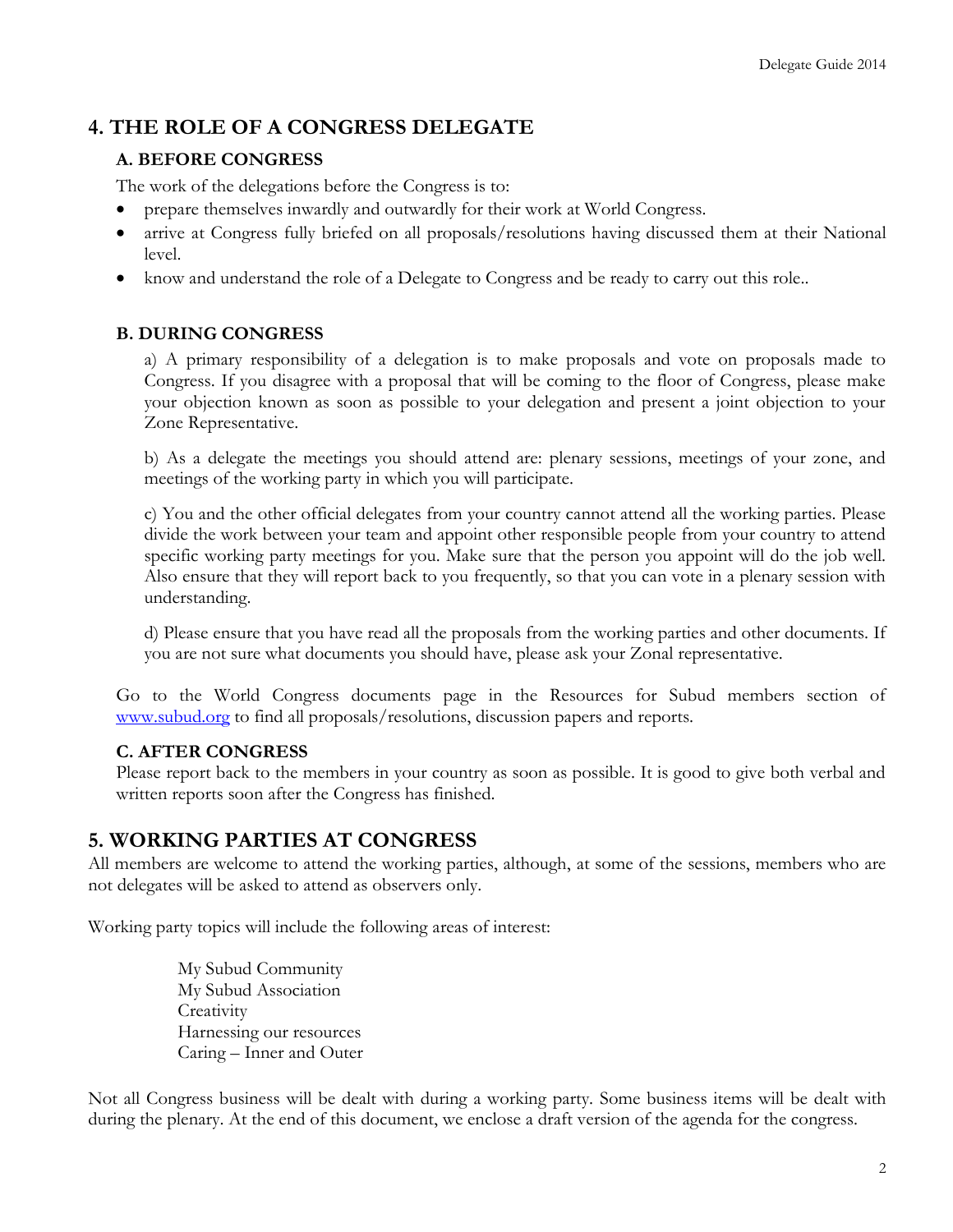## **4. THE ROLE OF A CONGRESS DELEGATE**

### **A. BEFORE CONGRESS**

The work of the delegations before the Congress is to:

- prepare themselves inwardly and outwardly for their work at World Congress.
- arrive at Congress fully briefed on all proposals/resolutions having discussed them at their National level.
- know and understand the role of a Delegate to Congress and be ready to carry out this role..

### **B. DURING CONGRESS**

a) A primary responsibility of a delegation is to make proposals and vote on proposals made to Congress. If you disagree with a proposal that will be coming to the floor of Congress, please make your objection known as soon as possible to your delegation and present a joint objection to your Zone Representative.

b) As a delegate the meetings you should attend are: plenary sessions, meetings of your zone, and meetings of the working party in which you will participate.

c) You and the other official delegates from your country cannot attend all the working parties. Please divide the work between your team and appoint other responsible people from your country to attend specific working party meetings for you. Make sure that the person you appoint will do the job well. Also ensure that they will report back to you frequently, so that you can vote in a plenary session with understanding.

d) Please ensure that you have read all the proposals from the working parties and other documents. If you are not sure what documents you should have, please ask your Zonal representative.

Go to the World Congress documents page in the Resources for Subud members section of [www.subud.org](http://www.subud.org/) to find all proposals/resolutions, discussion papers and reports.

### **C. AFTER CONGRESS**

Please report back to the members in your country as soon as possible. It is good to give both verbal and written reports soon after the Congress has finished.

### **5. WORKING PARTIES AT CONGRESS**

All members are welcome to attend the working parties, although, at some of the sessions, members who are not delegates will be asked to attend as observers only.

Working party topics will include the following areas of interest:

My Subud Community My Subud Association **Creativity** Harnessing our resources Caring – Inner and Outer

Not all Congress business will be dealt with during a working party. Some business items will be dealt with during the plenary. At the end of this document, we enclose a draft version of the agenda for the congress.